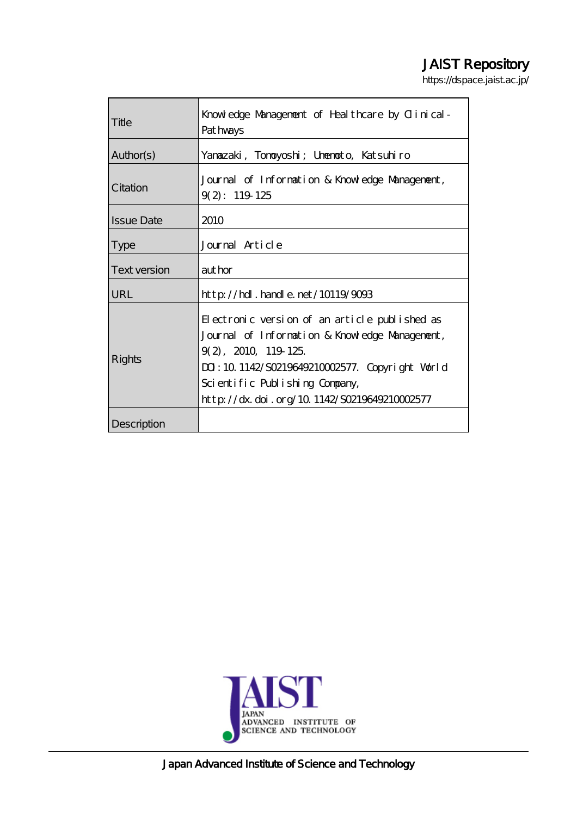# JAIST Repository

https://dspace.jaist.ac.jp/

| Title             | Knowledge Management of Healthcare by Clinical-<br>Pat hways                                                                                                                                                                                                 |  |  |
|-------------------|--------------------------------------------------------------------------------------------------------------------------------------------------------------------------------------------------------------------------------------------------------------|--|--|
| Author(s)         | Yanazaki, Tonovoshi; Unenoto, Katsuhiro                                                                                                                                                                                                                      |  |  |
| Citation          | Journal of Information & Knowledge Management,<br>9(2): 119 125                                                                                                                                                                                              |  |  |
| <b>Issue Date</b> | 2010                                                                                                                                                                                                                                                         |  |  |
| Type              | Journal Article                                                                                                                                                                                                                                              |  |  |
| l Text version    | author                                                                                                                                                                                                                                                       |  |  |
| URL               | $http$ // $hdl$ . handle. net/10119/9093                                                                                                                                                                                                                     |  |  |
| Rights            | Electronic version of an article published as<br>Journal of Information & Knowledge Management,<br>$9(2)$ , 2010, 119 125<br>DO: 10 1142/SO219649210002577. Copyright World<br>Scientific Publishing Company,<br>http://dx.doi.org/10.1142/S0219649210002577 |  |  |
| Description       |                                                                                                                                                                                                                                                              |  |  |



Japan Advanced Institute of Science and Technology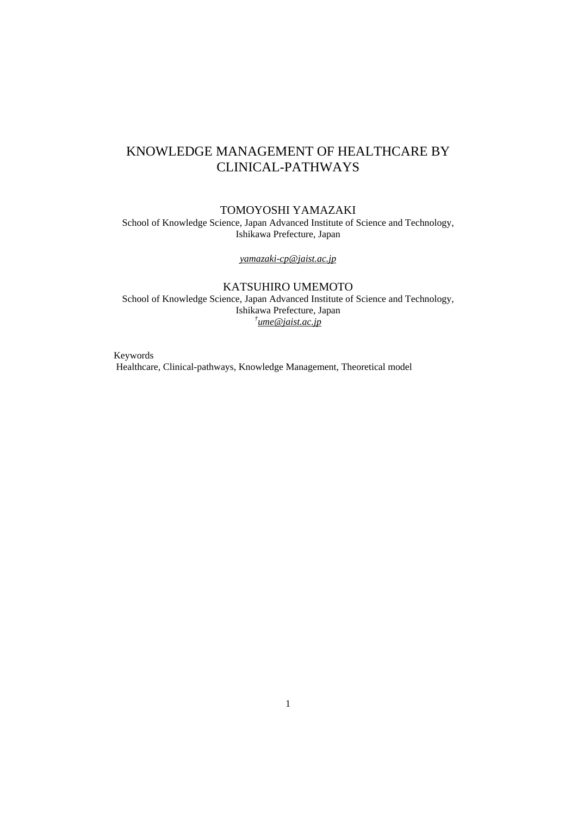## KNOWLEDGE MANAGEMENT OF HEALTHCARE BY CLINICAL-PATHWAYS

### TOMOYOSHI YAMAZAKI

School of Knowledge Science, Japan Advanced Institute of Science and Technology, Ishikawa Prefecture, Japan

*[yamazaki-cp@jaist.ac.jp](mailto:yamazaki-cp@jaist.ac.jp)*

KATSUHIRO UMEMOTO School of Knowledge Science, Japan Advanced Institute of Science and Technology, Ishikawa Prefecture, Japan *† [ume@jaist.ac.jp](mailto:ume@jaist.ac.jp)*

Keywords Healthcare, Clinical-pathways, Knowledge Management, Theoretical model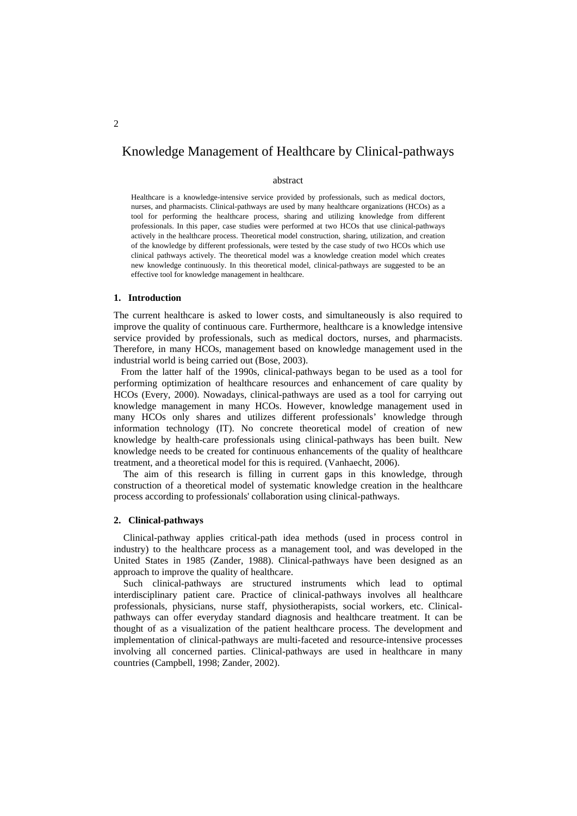## Knowledge Management of Healthcare by Clinical-pathways

#### abstract

Healthcare is a knowledge-intensive service provided by professionals, such as medical doctors, nurses, and pharmacists. Clinical-pathways are used by many healthcare organizations (HCOs) as a tool for performing the healthcare process, sharing and utilizing knowledge from different professionals. In this paper, case studies were performed at two HCOs that use clinical-pathways actively in the healthcare process. Theoretical model construction, sharing, utilization, and creation of the knowledge by different professionals, were tested by the case study of two HCOs which use clinical pathways actively. The theoretical model was a knowledge creation model which creates new knowledge continuously. In this theoretical model, clinical-pathways are suggested to be an effective tool for knowledge management in healthcare.

#### **1. Introduction**

The current healthcare is asked to lower costs, and simultaneously is also required to improve the quality of continuous care. Furthermore, healthcare is a knowledge intensive service provided by professionals, such as medical doctors, nurses, and pharmacists. Therefore, in many HCOs, management based on knowledge management used in the industrial world is being carried out (Bose, 2003).

 From the latter half of the 1990s, clinical-pathways began to be used as a tool for performing optimization of healthcare resources and enhancement of care quality by HCOs (Every, 2000). Nowadays, clinical-pathways are used as a tool for carrying out knowledge management in many HCOs. However, knowledge management used in many HCOs only shares and utilizes different professionals' knowledge through information technology (IT). No concrete theoretical model of creation of new knowledge by health-care professionals using clinical-pathways has been built. New knowledge needs to be created for continuous enhancements of the quality of healthcare treatment, and a theoretical model for this is required. (Vanhaecht, 2006).

The aim of this research is filling in current gaps in this knowledge, through construction of a theoretical model of systematic knowledge creation in the healthcare process according to professionals' collaboration using clinical-pathways.

#### **2. Clinical-pathways**

Clinical-pathway applies critical-path idea methods (used in process control in industry) to the healthcare process as a management tool, and was developed in the United States in 1985 (Zander, 1988). Clinical-pathways have been designed as an approach to improve the quality of healthcare.

Such clinical-pathways are structured instruments which lead to optimal interdisciplinary patient care. Practice of clinical-pathways involves all healthcare professionals, physicians, nurse staff, physiotherapists, social workers, etc. Clinicalpathways can offer everyday standard diagnosis and healthcare treatment. It can be thought of as a visualization of the patient healthcare process. The development and implementation of clinical-pathways are multi-faceted and resource-intensive processes involving all concerned parties. Clinical-pathways are used in healthcare in many countries (Campbell, 1998; Zander, 2002).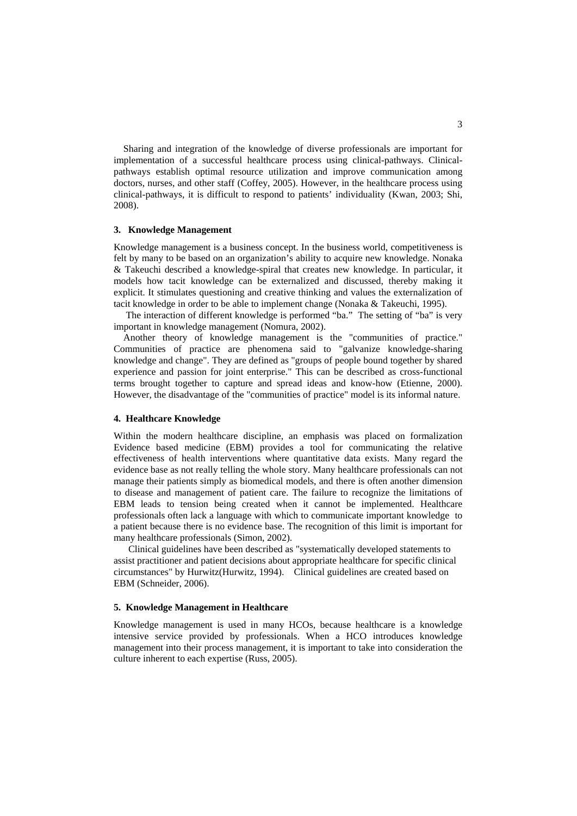Sharing and integration of the knowledge of diverse professionals are important for implementation of a successful healthcare process using clinical-pathways. Clinicalpathways establish optimal resource utilization and improve communication among doctors, nurses, and other staff (Coffey, 2005). However, in the healthcare process using clinical-pathways, it is difficult to respond to patients' individuality (Kwan, 2003; Shi, 2008).

#### **3. Knowledge Management**

Knowledge management is a business concept. In the business world, competitiveness is felt by many to be based on an organization's ability to acquire new knowledge. Nonaka & Takeuchi described a knowledge-spiral that creates new knowledge. In particular, it models how tacit knowledge can be externalized and discussed, thereby making it explicit. It stimulates questioning and creative thinking and values the externalization of tacit knowledge in order to be able to implement change (Nonaka & Takeuchi, 1995).

The interaction of different knowledge is performed "ba." The setting of "ba" is very important in knowledge management (Nomura, 2002).

Another theory of knowledge management is the "communities of practice." Communities of practice are phenomena said to "galvanize knowledge-sharing knowledge and change". They are defined as "groups of people bound together by shared experience and passion for joint enterprise." This can be described as cross-functional terms brought together to capture and spread ideas and know-how (Etienne, 2000). However, the disadvantage of the "communities of practice" model is its informal nature.

#### **4. Healthcare Knowledge**

Within the modern healthcare discipline, an emphasis was placed on formalization Evidence based medicine (EBM) provides a tool for communicating the relative effectiveness of health interventions where quantitative data exists. Many regard the evidence base as not really telling the whole story. Many healthcare professionals can not manage their patients simply as biomedical models, and there is often another dimension to disease and management of patient care. The failure to recognize the limitations of EBM leads to tension being created when it cannot be implemented. Healthcare professionals often lack a language with which to communicate important knowledge to a patient because there is no evidence base. The recognition of this limit is important for many healthcare professionals (Simon, 2002).

 Clinical guidelines have been described as "systematically developed statements to assist practitioner and patient decisions about appropriate healthcare for specific clinical circumstances" by Hurwitz(Hurwitz, 1994). Clinical guidelines are created based on EBM (Schneider, 2006).

#### **5. Knowledge Management in Healthcare**

Knowledge management is used in many HCOs, because healthcare is a knowledge intensive service provided by professionals. When a HCO introduces knowledge management into their process management, it is important to take into consideration the culture inherent to each expertise (Russ, 2005).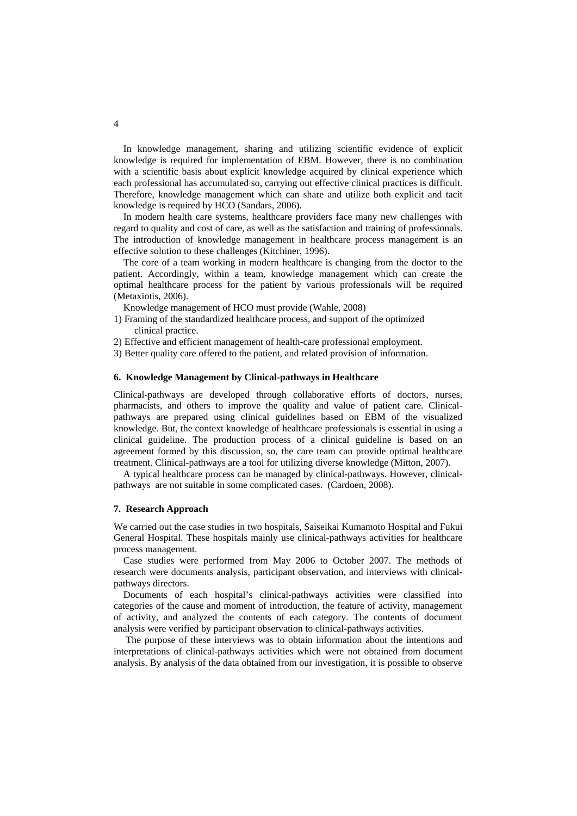In knowledge management, sharing and utilizing scientific evidence of explicit knowledge is required for implementation of EBM. However, there is no combination with a scientific basis about explicit knowledge acquired by clinical experience which each professional has accumulated so, carrying out effective clinical practices is difficult. Therefore, knowledge management which can share and utilize both explicit and tacit knowledge is required by HCO (Sandars, 2006).

In modern health care systems, healthcare providers face many new challenges with regard to quality and cost of care, as well as the satisfaction and training of professionals. The introduction of knowledge management in healthcare process management is an effective solution to these challenges (Kitchiner, 1996).

The core of a team working in modern healthcare is changing from the doctor to the patient. Accordingly, within a team, knowledge management which can create the optimal healthcare process for the patient by various professionals will be required (Metaxiotis, 2006).

Knowledge management of HCO must provide (Wahle, 2008)

1) Framing of the standardized healthcare process, and support of the optimized clinical practice.

2) Effective and efficient management of health-care professional employment.

3) Better quality care offered to the patient, and related provision of information.

#### **6. Knowledge Management by Clinical-pathways in Healthcare**

Clinical-pathways are developed through collaborative efforts of doctors, nurses, pharmacists, and others to improve the quality and value of patient care. Clinicalpathways are prepared using clinical guidelines based on EBM of the visualized knowledge. But, the context knowledge of healthcare professionals is essential in using a clinical guideline. The production process of a clinical guideline is based on an agreement formed by this discussion, so, the care team can provide optimal healthcare treatment. Clinical-pathways are a tool for utilizing diverse knowledge (Mitton, 2007).

A typical healthcare process can be managed by clinical-pathways. However, clinicalpathways are not suitable in some complicated cases. (Cardoen, 2008).

#### **7. Research Approach**

We carried out the case studies in two hospitals, Saiseikai Kumamoto Hospital and Fukui General Hospital. These hospitals mainly use clinical-pathways activities for healthcare process management.

Case studies were performed from May 2006 to October 2007. The methods of research were documents analysis, participant observation, and interviews with clinicalpathways directors.

Documents of each hospital's clinical-pathways activities were classified into categories of the cause and moment of introduction, the feature of activity, management of activity, and analyzed the contents of each category. The contents of document analysis were verified by participant observation to clinical-pathways activities.

 The purpose of these interviews was to obtain information about the intentions and interpretations of clinical-pathways activities which were not obtained from document analysis. By analysis of the data obtained from our investigation, it is possible to observe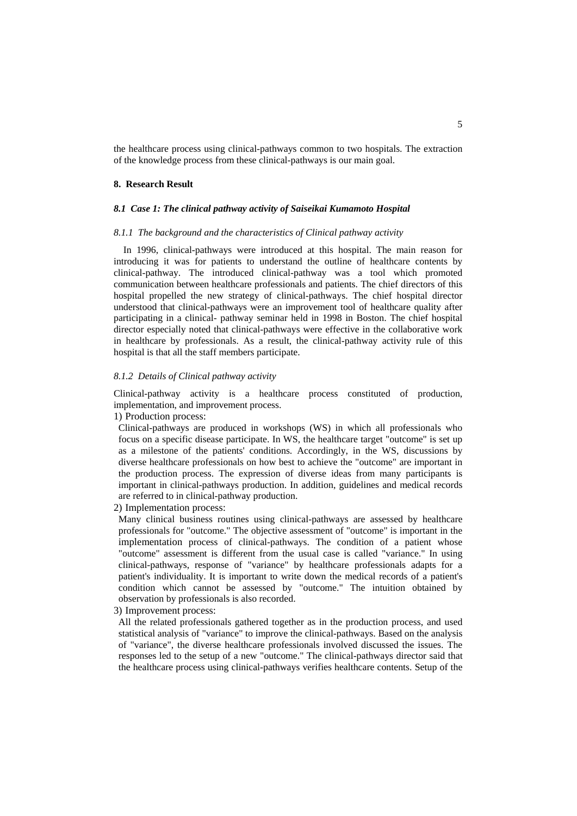the healthcare process using clinical-pathways common to two hospitals. The extraction of the knowledge process from these clinical-pathways is our main goal.

#### **8. Research Result**

#### *8.1 Case 1: The clinical pathway activity of Saiseikai Kumamoto Hospital*

#### *8.1.1 The background and the characteristics of Clinical pathway activity*

In 1996, clinical-pathways were introduced at this hospital. The main reason for introducing it was for patients to understand the outline of healthcare contents by clinical-pathway. The introduced clinical-pathway was a tool which promoted communication between healthcare professionals and patients. The chief directors of this hospital propelled the new strategy of clinical-pathways. The chief hospital director understood that clinical-pathways were an improvement tool of healthcare quality after participating in a clinical- pathway seminar held in 1998 in Boston. The chief hospital director especially noted that clinical-pathways were effective in the collaborative work in healthcare by professionals. As a result, the clinical-pathway activity rule of this hospital is that all the staff members participate.

#### *8.1.2 Details of Clinical pathway activity*

Clinical-pathway activity is a healthcare process constituted of production, implementation, and improvement process.

1) Production process:

Clinical-pathways are produced in workshops (WS) in which all professionals who focus on a specific disease participate. In WS, the healthcare target "outcome" is set up as a milestone of the patients' conditions. Accordingly, in the WS, discussions by diverse healthcare professionals on how best to achieve the "outcome" are important in the production process. The expression of diverse ideas from many participants is important in clinical-pathways production. In addition, guidelines and medical records are referred to in clinical-pathway production.

2) Implementation process:

Many clinical business routines using clinical-pathways are assessed by healthcare professionals for "outcome." The objective assessment of "outcome" is important in the implementation process of clinical-pathways. The condition of a patient whose "outcome" assessment is different from the usual case is called "variance." In using clinical-pathways, response of "variance" by healthcare professionals adapts for a patient's individuality. It is important to write down the medical records of a patient's condition which cannot be assessed by "outcome." The intuition obtained by observation by professionals is also recorded.

3) Improvement process:

All the related professionals gathered together as in the production process, and used statistical analysis of "variance" to improve the clinical-pathways. Based on the analysis of "variance", the diverse healthcare professionals involved discussed the issues. The responses led to the setup of a new "outcome." The clinical-pathways director said that the healthcare process using clinical-pathways verifies healthcare contents. Setup of the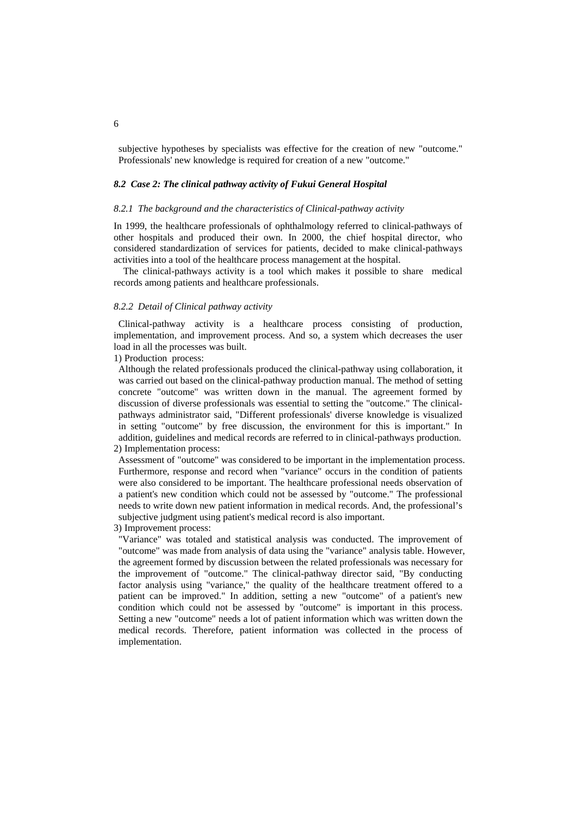subjective hypotheses by specialists was effective for the creation of new "outcome." Professionals' new knowledge is required for creation of a new "outcome."

#### *8.2 Case 2: The clinical pathway activity of Fukui General Hospital*

#### *8.2.1 The background and the characteristics of Clinical-pathway activity*

In 1999, the healthcare professionals of ophthalmology referred to clinical-pathways of other hospitals and produced their own. In 2000, the chief hospital director, who considered standardization of services for patients, decided to make clinical-pathways activities into a tool of the healthcare process management at the hospital.

The clinical-pathways activity is a tool which makes it possible to share medical records among patients and healthcare professionals.

#### *8.2.2 Detail of Clinical pathway activity*

Clinical-pathway activity is a healthcare process consisting of production, implementation, and improvement process. And so, a system which decreases the user load in all the processes was built.

1) Production process:

Although the related professionals produced the clinical-pathway using collaboration, it was carried out based on the clinical-pathway production manual. The method of setting concrete "outcome" was written down in the manual. The agreement formed by discussion of diverse professionals was essential to setting the "outcome." The clinicalpathways administrator said, "Different professionals' diverse knowledge is visualized in setting "outcome" by free discussion, the environment for this is important." In addition, guidelines and medical records are referred to in clinical-pathways production. 2) Implementation process:

Assessment of "outcome" was considered to be important in the implementation process. Furthermore, response and record when "variance" occurs in the condition of patients were also considered to be important. The healthcare professional needs observation of a patient's new condition which could not be assessed by "outcome." The professional needs to write down new patient information in medical records. And, the professional's subjective judgment using patient's medical record is also important.

3) Improvement process:

"Variance" was totaled and statistical analysis was conducted. The improvement of "outcome" was made from analysis of data using the "variance" analysis table. However, the agreement formed by discussion between the related professionals was necessary for the improvement of "outcome." The clinical-pathway director said, "By conducting factor analysis using "variance," the quality of the healthcare treatment offered to a patient can be improved." In addition, setting a new "outcome" of a patient's new condition which could not be assessed by "outcome" is important in this process. Setting a new "outcome" needs a lot of patient information which was written down the medical records. Therefore, patient information was collected in the process of implementation.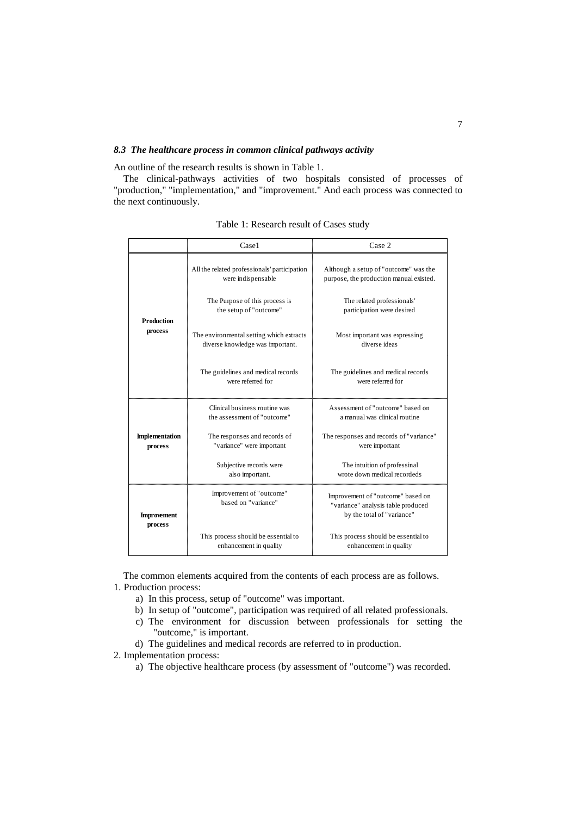#### *8.3 The healthcare process in common clinical pathways activity*

An outline of the research results is shown in Table 1.

The clinical-pathways activities of two hospitals consisted of processes of "production," "implementation," and "improvement." And each process was connected to the next continuously.

|                              | Case1                                                                        | Case 2                                                                                                |
|------------------------------|------------------------------------------------------------------------------|-------------------------------------------------------------------------------------------------------|
| <b>Production</b><br>process | All the related professionals' participation<br>were indispensable           | Although a setup of "outcome" was the<br>purpose, the production manual existed.                      |
|                              | The Purpose of this process is<br>the setup of "outcome"                     | The related professionals'<br>participation were desired                                              |
|                              | The environmental setting which extracts<br>diverse knowledge was important. | Most important was expressing<br>diverse ideas                                                        |
|                              | The guidelines and medical records<br>were referred for                      | The guidelines and medical records<br>were referred for                                               |
| Implementation<br>process    | Clinical business routine was<br>the assessment of "outcome"                 | Assessment of "outcome" based on<br>a manual was clinical routine                                     |
|                              | The responses and records of<br>"variance" were important                    | The responses and records of "variance"<br>were important                                             |
|                              | Subjective records were<br>also important.                                   | The intuition of professinal<br>wrote down medical recordeds                                          |
| Improvement<br>process       | Improvement of "outcome"<br>based on "variance"                              | Improvement of "outcome" based on<br>"variance" analysis table produced<br>by the total of "variance" |
|                              | This process should be essential to<br>enhancement in quality                | This process should be essential to<br>enhancement in quality                                         |

Table 1: Research result of Cases study

The common elements acquired from the contents of each process are as follows. 1. Production process:

- a) In this process, setup of "outcome" was important.
- b) In setup of "outcome", participation was required of all related professionals.
- c) The environment for discussion between professionals for setting the "outcome," is important.
- d) The guidelines and medical records are referred to in production.

2. Implementation process:

a) The objective healthcare process (by assessment of "outcome") was recorded.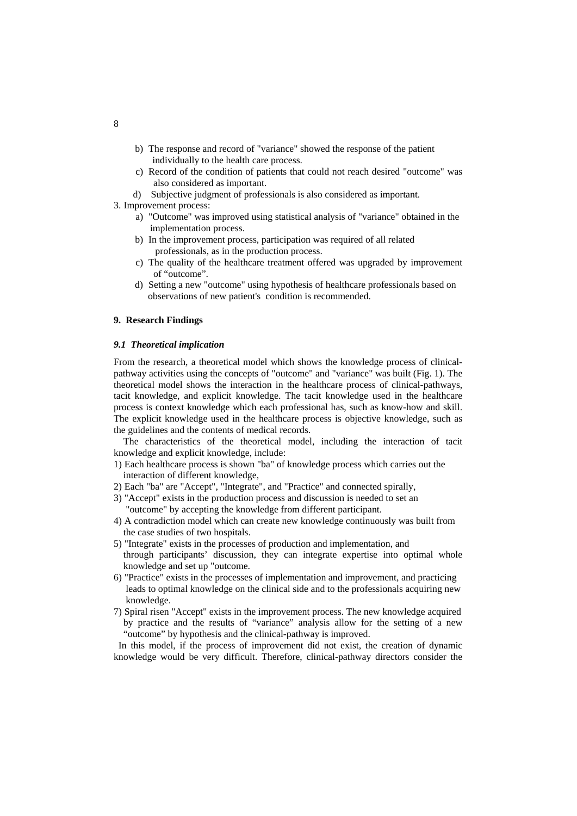- b) The response and record of "variance" showed the response of the patient individually to the health care process.
- c) Record of the condition of patients that could not reach desired "outcome" was also considered as important.
- d) Subjective judgment of professionals is also considered as important.
- 3. Improvement process:
	- a) "Outcome" was improved using statistical analysis of "variance" obtained in the implementation process.
	- b) In the improvement process, participation was required of all related professionals, as in the production process.
	- c) The quality of the healthcare treatment offered was upgraded by improvement of "outcome".
	- d) Setting a new "outcome" using hypothesis of healthcare professionals based on observations of new patient's condition is recommended.

#### **9. Research Findings**

#### *9.1 Theoretical implication*

From the research, a theoretical model which shows the knowledge process of clinicalpathway activities using the concepts of "outcome" and "variance" was built (Fig. 1). The theoretical model shows the interaction in the healthcare process of clinical-pathways, tacit knowledge, and explicit knowledge. The tacit knowledge used in the healthcare process is context knowledge which each professional has, such as know-how and skill. The explicit knowledge used in the healthcare process is objective knowledge, such as the guidelines and the contents of medical records.

The characteristics of the theoretical model, including the interaction of tacit knowledge and explicit knowledge, include:

- 1) Each healthcare process is shown "ba" of knowledge process which carries out the interaction of different knowledge,
- 2) Each "ba" are "Accept", "Integrate", and "Practice" and connected spirally,
- 3) "Accept" exists in the production process and discussion is needed to set an "outcome" by accepting the knowledge from different participant.
- 4) A contradiction model which can create new knowledge continuously was built from the case studies of two hospitals.
- 5) "Integrate" exists in the processes of production and implementation, and
- through participants' discussion, they can integrate expertise into optimal whole knowledge and set up "outcome.
- 6) "Practice" exists in the processes of implementation and improvement, and practicing leads to optimal knowledge on the clinical side and to the professionals acquiring new knowledge.
- 7) Spiral risen "Accept" exists in the improvement process. The new knowledge acquired by practice and the results of "variance" analysis allow for the setting of a new "outcome" by hypothesis and the clinical-pathway is improved.

In this model, if the process of improvement did not exist, the creation of dynamic knowledge would be very difficult. Therefore, clinical-pathway directors consider the

8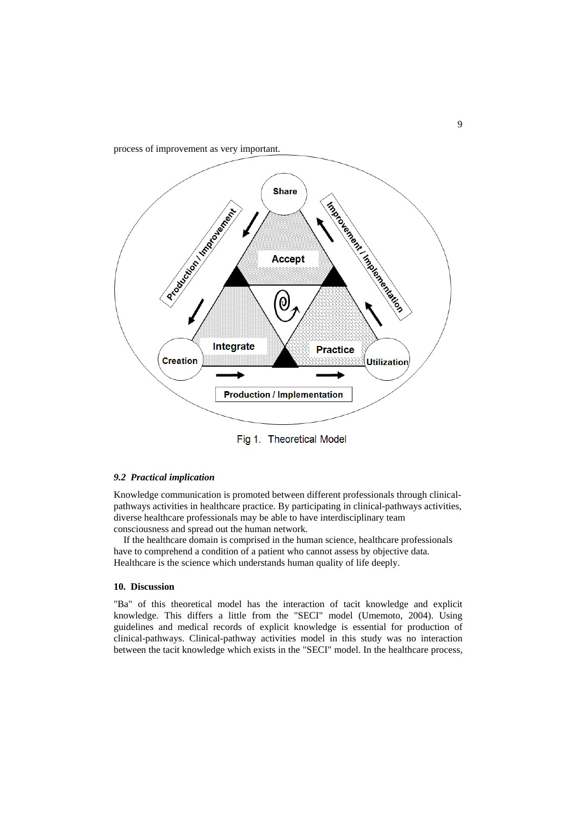

process of improvement as very important.

Fig 1. Theoretical Model

#### *9.2 Practical implication*

Knowledge communication is promoted between different professionals through clinicalpathways activities in healthcare practice. By participating in clinical-pathways activities, diverse healthcare professionals may be able to have interdisciplinary team consciousness and spread out the human network.

If the healthcare domain is comprised in the human science, healthcare professionals have to comprehend a condition of a patient who cannot assess by objective data. Healthcare is the science which understands human quality of life deeply.

#### **10. Discussion**

"Ba" of this theoretical model has the interaction of tacit knowledge and explicit knowledge. This differs a little from the "SECI" model (Umemoto, 2004). Using guidelines and medical records of explicit knowledge is essential for production of clinical-pathways. Clinical-pathway activities model in this study was no interaction between the tacit knowledge which exists in the "SECI" model. In the healthcare process,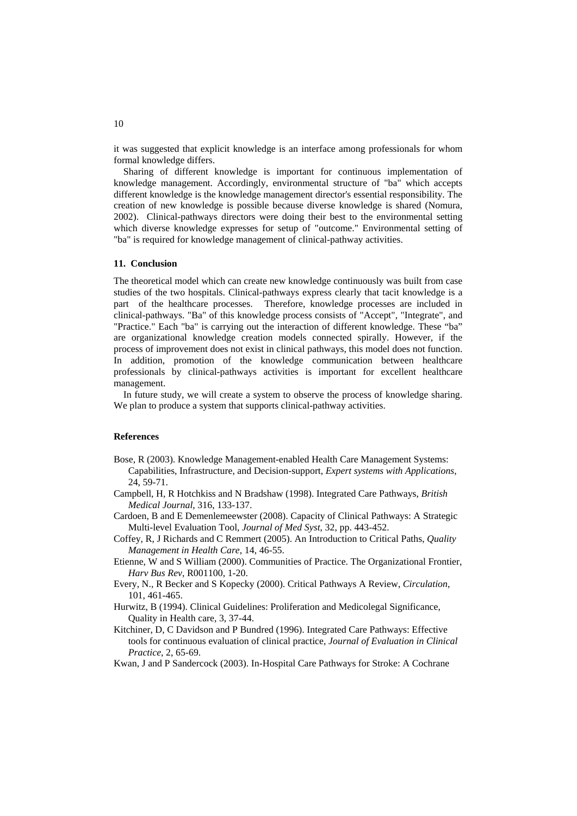it was suggested that explicit knowledge is an interface among professionals for whom formal knowledge differs.

Sharing of different knowledge is important for continuous implementation of knowledge management. Accordingly, environmental structure of "ba" which accepts different knowledge is the knowledge management director's essential responsibility. The creation of new knowledge is possible because diverse knowledge is shared (Nomura, 2002). Clinical-pathways directors were doing their best to the environmental setting which diverse knowledge expresses for setup of "outcome." Environmental setting of "ba" is required for knowledge management of clinical-pathway activities.

#### **11. Conclusion**

The theoretical model which can create new knowledge continuously was built from case studies of the two hospitals. Clinical-pathways express clearly that tacit knowledge is a part of the healthcare processes. Therefore, knowledge processes are included in clinical-pathways. "Ba" of this knowledge process consists of "Accept", "Integrate", and "Practice." Each "ba" is carrying out the interaction of different knowledge. These "ba" are organizational knowledge creation models connected spirally. However, if the process of improvement does not exist in clinical pathways, this model does not function. In addition, promotion of the knowledge communication between healthcare professionals by clinical-pathways activities is important for excellent healthcare management.

In future study, we will create a system to observe the process of knowledge sharing. We plan to produce a system that supports clinical-pathway activities.

#### **References**

- Bose, R (2003). Knowledge Management-enabled Health Care Management Systems: Capabilities, Infrastructure, and Decision-support, *Expert systems with Applications*, 24, 59-71.
- Campbell, H, R Hotchkiss and N Bradshaw (1998). Integrated Care Pathways, *British Medical Journal*, 316, 133-137.
- Cardoen, B and E Demenlemeewster (2008). Capacity of Clinical Pathways: A Strategic Multi-level Evaluation Tool, *Journal of Med Syst*, 32, pp. 443-452.
- Coffey, R, J Richards and C Remmert (2005). An Introduction to Critical Paths, *Quality Management in Health Care*, 14, 46-55.
- Etienne, W and S William (2000). Communities of Practice. The Organizational Frontier, *Harv Bus Rev*, R001100, 1-20.
- Every, N., R Becker and S Kopecky (2000). Critical Pathways A Review, *Circulation*, 101, 461-465.
- Hurwitz, B (1994). Clinical Guidelines: Proliferation and Medicolegal Significance, Quality in Health care, 3, 37-44.
- Kitchiner, D, C Davidson and P Bundred (1996). Integrated Care Pathways: Effective tools for continuous evaluation of clinical practice, *Journal of Evaluation in Clinical Practice*, 2, 65-69.

#### 10

Kwan, J and P Sandercock (2003). In-Hospital Care Pathways for Stroke: A Cochrane